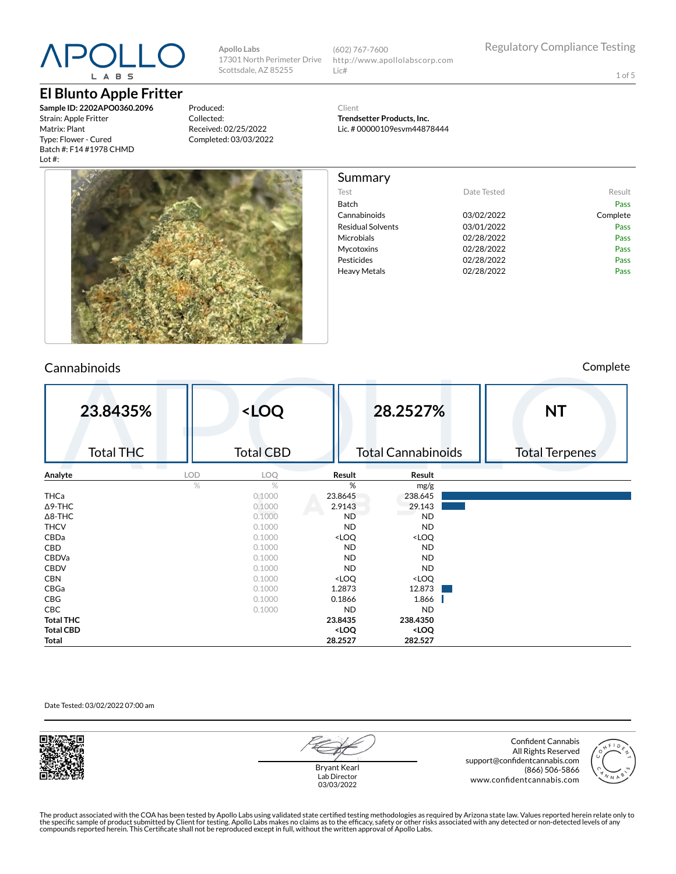### APOLL L A B S

#### **El Blunto Apple Fritter**

**Sample ID: 2202APO0360.2096** Strain: Apple Fritter Matrix: Plant Type: Flower - Cured Batch #: F14 #1978 CHMD Lot #:

Produced: Collected: Received: 02/25/2022 Completed: 03/03/2022

**Apollo Labs**

17301 North Perimeter Drive Scottsdale, AZ 85255

(602) 767-7600 http://www.apollolabscorp.com Lic#

Test **Date Tested** Result Batch Pass Cannabinoids 03/02/2022 Complete Residual Solvents **03/01/2022** Pass Microbials **02/28/2022** Pass Mycotoxins 02/28/2022 Pass Pesticides **Data Pass** 02/28/2022 **Pass** Pass Heavy Metals **D2/28/2022** Pass

1 of 5

Client

Summary

**Trendsetter Products, Inc.** Lic. # 00000109esvm44878444



#### Cannabinoids Complete

| 23.8435%         | <loq< th=""><th></th><th>28.2527%</th><th><b>NT</b></th></loq<> |                                                          | 28.2527%                     | <b>NT</b>             |
|------------------|-----------------------------------------------------------------|----------------------------------------------------------|------------------------------|-----------------------|
| <b>Total THC</b> | <b>Total CBD</b>                                                |                                                          | <b>Total Cannabinoids</b>    | <b>Total Terpenes</b> |
| a shi<br>Analyte | LOD<br>LOQ                                                      | Result                                                   | Result                       |                       |
|                  | $\frac{1}{2}$<br>$\%$                                           | %                                                        | mg/g                         |                       |
| THCa             | 0.1000                                                          | 23.8645                                                  | 238.645                      |                       |
| $\Delta$ 9-THC   | 0.1000                                                          | 2.9143                                                   | 29.143                       |                       |
| $\Delta$ 8-THC   | 0.1000                                                          | <b>ND</b>                                                | <b>ND</b>                    |                       |
| <b>THCV</b>      | 0.1000                                                          | <b>ND</b>                                                | <b>ND</b>                    |                       |
| CBDa             | 0.1000                                                          | <loq< th=""><th><loq< th=""><th></th></loq<></th></loq<> | <loq< th=""><th></th></loq<> |                       |
| CBD              | 0.1000                                                          | <b>ND</b>                                                | <b>ND</b>                    |                       |
| <b>CBDVa</b>     | 0.1000                                                          | <b>ND</b>                                                | <b>ND</b>                    |                       |
| <b>CBDV</b>      | 0.1000                                                          | <b>ND</b>                                                | <b>ND</b>                    |                       |
| <b>CBN</b>       | 0.1000                                                          | <loq< th=""><th><loq< th=""><th></th></loq<></th></loq<> | <loq< th=""><th></th></loq<> |                       |
| CBGa             | 0.1000                                                          | 1.2873                                                   | 12.873                       |                       |
| CBG              | 0.1000                                                          | 0.1866                                                   | 1.866                        |                       |
| CBC              | 0.1000                                                          | <b>ND</b>                                                | <b>ND</b>                    |                       |
| <b>Total THC</b> |                                                                 | 23.8435                                                  | 238.4350                     |                       |
| <b>Total CBD</b> |                                                                 | <loq< th=""><th><loq< th=""><th></th></loq<></th></loq<> | <loq< th=""><th></th></loq<> |                       |
| Total            |                                                                 | 28.2527                                                  | 282.527                      |                       |

Date Tested: 03/02/2022 07:00 am



Bryant Kearl Lab Director 03/03/2022

Confident Cannabis All Rights Reserved support@confidentcannabis.com (866) 506-5866 www.confidentcannabis.com



The product associated with the COA has been tested by Apollo Labs using validated state certified testing methodologies as required by Arizona state law. Values reported herein relate only to<br>the specific sample of produc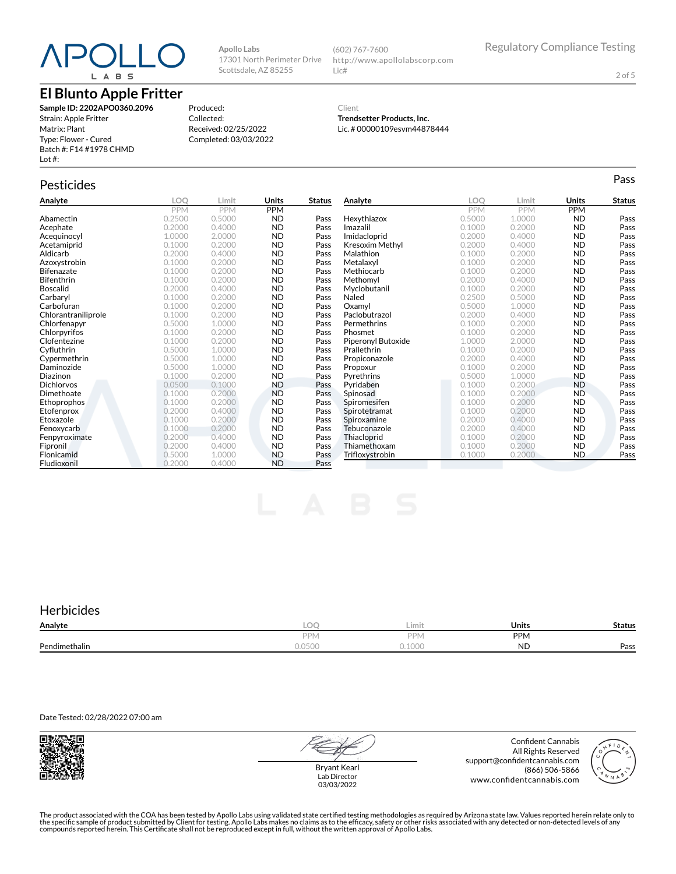# L A B S

#### **El Blunto Apple Fritter**

**Sample ID: 2202APO0360.2096** Strain: Apple Fritter Matrix: Plant Type: Flower - Cured Batch #: F14 #1978 CHMD Lot #:

Produced: Collected: Received: 02/25/2022 Completed: 03/03/2022

**Apollo Labs**

17301 North Perimeter Drive Scottsdale, AZ 85255

#### Client **Trendsetter Products, Inc.**

Lic#

(602) 767-7600

Lic. # 00000109esvm44878444

http://www.apollolabscorp.com

### Pesticides **Passage of the Contract of Contract Contract of Contract Contract Contract Contract Contract Contract Contract Contract Contract Contract Contract Contract Contract Contract Contract Contract Contract Contract**

| Analyte             | LOO    | Limit  | Units      | <b>Status</b> | Analyte                | <b>LOO</b> | Limit      | <b>Units</b> | Status |
|---------------------|--------|--------|------------|---------------|------------------------|------------|------------|--------------|--------|
|                     | PPM    | PPM    | <b>PPM</b> |               |                        | <b>PPM</b> | <b>PPM</b> | <b>PPM</b>   |        |
| Abamectin           | 0.2500 | 0.5000 | <b>ND</b>  | Pass          | Hexythiazox            | 0.5000     | 1.0000     | <b>ND</b>    | Pass   |
| Acephate            | 0.2000 | 0.4000 | <b>ND</b>  | Pass          | Imazalil               | 0.1000     | 0.2000     | <b>ND</b>    | Pass   |
| Acequinocyl         | 1.0000 | 2.0000 | <b>ND</b>  | Pass          | Imidacloprid           | 0.2000     | 0.4000     | <b>ND</b>    | Pass   |
| Acetamiprid         | 0.1000 | 0.2000 | <b>ND</b>  | Pass          | <b>Kresoxim Methyl</b> | 0.2000     | 0.4000     | ND           | Pass   |
| Aldicarb            | 0.2000 | 0.4000 | <b>ND</b>  | Pass          | Malathion              | 0.1000     | 0.2000     | <b>ND</b>    | Pass   |
| Azoxystrobin        | 0.1000 | 0.2000 | <b>ND</b>  | Pass          | Metalaxyl              | 0.1000     | 0.2000     | <b>ND</b>    | Pass   |
| <b>Bifenazate</b>   | 0.1000 | 0.2000 | <b>ND</b>  | Pass          | Methiocarb             | 0.1000     | 0.2000     | ND           | Pass   |
| <b>Bifenthrin</b>   | 0.1000 | 0.2000 | <b>ND</b>  | Pass          | Methomyl               | 0.2000     | 0.4000     | <b>ND</b>    | Pass   |
| <b>Boscalid</b>     | 0.2000 | 0.4000 | <b>ND</b>  | Pass          | Myclobutanil           | 0.1000     | 0.2000     | <b>ND</b>    | Pass   |
| Carbaryl            | 0.1000 | 0.2000 | <b>ND</b>  | Pass          | Naled                  | 0.2500     | 0.5000     | ND           | Pass   |
| Carbofuran          | 0.1000 | 0.2000 | <b>ND</b>  | Pass          | Oxamvl                 | 0.5000     | 1.0000     | <b>ND</b>    | Pass   |
| Chlorantraniliprole | 0.1000 | 0.2000 | <b>ND</b>  | Pass          | Paclobutrazol          | 0.2000     | 0.4000     | <b>ND</b>    | Pass   |
| Chlorfenapyr        | 0.5000 | 1.0000 | <b>ND</b>  | Pass          | Permethrins            | 0.1000     | 0.2000     | <b>ND</b>    | Pass   |
| Chlorpyrifos        | 0.1000 | 0.2000 | <b>ND</b>  | Pass          | Phosmet                | 0.1000     | 0.2000     | <b>ND</b>    | Pass   |
| Clofentezine        | 0.1000 | 0.2000 | <b>ND</b>  | Pass          | Piperonyl Butoxide     | 1.0000     | 2.0000     | ND           | Pass   |
| Cyfluthrin          | 0.5000 | 1.0000 | <b>ND</b>  | Pass          | Prallethrin            | 0.1000     | 0.2000     | <b>ND</b>    | Pass   |
| Cypermethrin        | 0.5000 | 1.0000 | <b>ND</b>  | Pass          | Propiconazole          | 0.2000     | 0.4000     | <b>ND</b>    | Pass   |
| Daminozide          | 0.5000 | 1.0000 | <b>ND</b>  | Pass          | Propoxur               | 0.1000     | 0.2000     | <b>ND</b>    | Pass   |
| Diazinon            | 0.1000 | 0.2000 | <b>ND</b>  | Pass          | Pyrethrins             | 0.5000     | 1.0000     | <b>ND</b>    | Pass   |
| <b>Dichlorvos</b>   | 0.0500 | 0.1000 | <b>ND</b>  | Pass          | Pyridaben              | 0.1000     | 0.2000     | <b>ND</b>    | Pass   |
| Dimethoate          | 0.1000 | 0.2000 | <b>ND</b>  | Pass          | Spinosad               | 0.1000     | 0.2000     | <b>ND</b>    | Pass   |
| Ethoprophos         | 0.1000 | 0.2000 | <b>ND</b>  | Pass          | Spiromesifen           | 0.1000     | 0.2000     | <b>ND</b>    | Pass   |
| Etofenprox          | 0.2000 | 0.4000 | <b>ND</b>  | Pass          | Spirotetramat          | 0.1000     | 0.2000     | <b>ND</b>    | Pass   |
| Etoxazole           | 0.1000 | 0.2000 | <b>ND</b>  | Pass          | Spiroxamine            | 0.2000     | 0.4000     | <b>ND</b>    | Pass   |
| Fenoxycarb          | 0.1000 | 0.2000 | <b>ND</b>  | Pass          | Tebuconazole           | 0.2000     | 0.4000     | <b>ND</b>    | Pass   |
| Fenpyroximate       | 0.2000 | 0.4000 | <b>ND</b>  | Pass          | Thiacloprid            | 0.1000     | 0.2000     | <b>ND</b>    | Pass   |
| Fipronil            | 0.2000 | 0.4000 | <b>ND</b>  | Pass          | Thiamethoxam           | 0.1000     | 0.2000     | <b>ND</b>    | Pass   |
| Flonicamid          | 0.5000 | 1.0000 | <b>ND</b>  | Pass          | Trifloxystrobin        | 0.1000     | 0.2000     | <b>ND</b>    | Pass   |
| Fludioxonil         | 0.2000 | 0.4000 | <b>ND</b>  | Pass          |                        |            |            |              |        |

#### **Herbicides**

| Analyte       | ∽                                         | Limit             | Units     | status |
|---------------|-------------------------------------------|-------------------|-----------|--------|
|               | <b>DDI</b><br>$\mathbf{v}$                | <b>DDN</b><br>'IV | PPN       |        |
| Pendimethalin | $\sim$<br>$\cap$ $\cap$ $\cdot$<br>U.UJUU | 0.1000            | <b>ND</b> | Pass   |

Date Tested: 02/28/2022 07:00 am



Bryant Kearl Lab Director 03/03/2022

Confident Cannabis All Rights Reserved support@confidentcannabis.com (866) 506-5866 www.confidentcannabis.com



The product associated with the COA has been tested by Apollo Labs using validated state certified testing methodologies as required by Arizona state law. Values reported herein relate only to<br>the specific sample of produc

2 of 5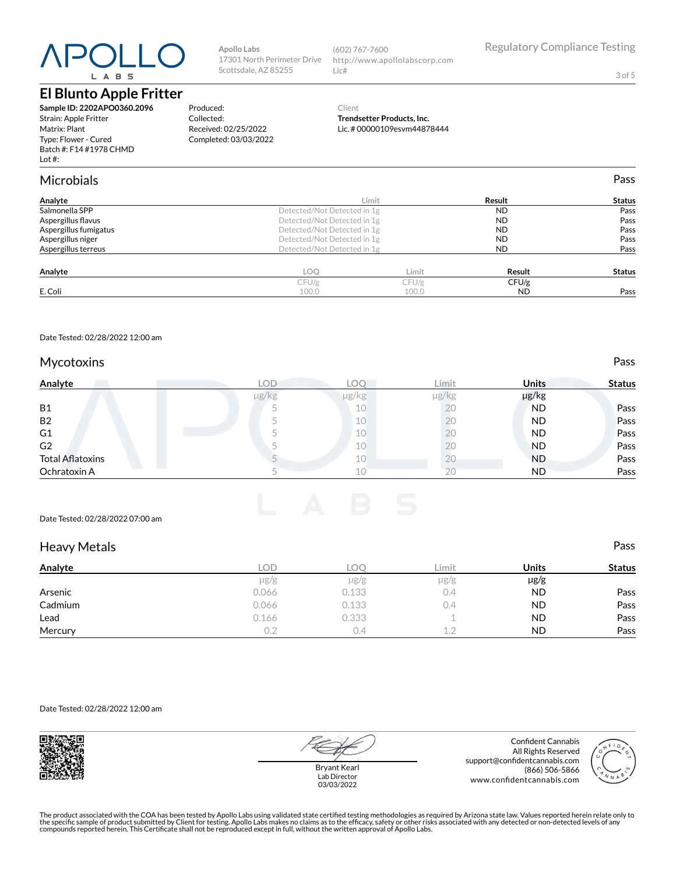# L A B S

#### **El Blunto Apple Fritter**

**Sample ID: 2202APO0360.2096** Strain: Apple Fritter Matrix: Plant Type: Flower - Cured Batch #: F14 #1978 CHMD Lot #:

#### Produced: Collected: Received: 02/25/2022

Completed: 03/03/2022

**Apollo Labs**

17301 North Perimeter Drive Scottsdale, AZ 85255

#### Client **Trendsetter Products, Inc.**

(602) 767-7600

Lic#

|        | http://www.apollolabscorp.com |  |
|--------|-------------------------------|--|
| $\Box$ |                               |  |

3 of 5

Regulatory Compliance Testing

### Lic. # 00000109esvm44878444

| Batch #: F14 #1978 CHMD<br>Lot $#$ : |      |
|--------------------------------------|------|
| Microbials                           | Pass |

| Analyte               |                             | ∟imit                       | Result    | <b>Status</b> |  |
|-----------------------|-----------------------------|-----------------------------|-----------|---------------|--|
| Salmonella SPP        | Detected/Not Detected in 1g | <b>ND</b>                   | Pass      |               |  |
| Aspergillus flavus    |                             | Detected/Not Detected in 1g |           |               |  |
| Aspergillus fumigatus | Detected/Not Detected in 1g | <b>ND</b>                   | Pass      |               |  |
| Aspergillus niger     | Detected/Not Detected in 1g | <b>ND</b>                   | Pass      |               |  |
| Aspergillus terreus   | Detected/Not Detected in 1g |                             | <b>ND</b> | Pass          |  |
| Analyte               | LOQ                         | Limit                       | Result    | <b>Status</b> |  |
|                       | CFU/g                       | CFU/g                       | CFU/g     |               |  |
| E. Coli               | 100.0                       | 100.0                       | <b>ND</b> | Pass          |  |

Date Tested: 02/28/2022 12:00 am

#### Mycotoxins **Pass**

| Analyte                 | <b>LOD</b> | °O∟        | Limit      | <b>Units</b> | <b>Status</b> |
|-------------------------|------------|------------|------------|--------------|---------------|
|                         | $\mu$ g/kg | $\mu$ g/kg | $\mu$ g/kg | µg/kg        |               |
| <b>B1</b>               |            | 10         | ŽŪ         | <b>ND</b>    | Pass          |
| <b>B2</b>               |            | 10         |            | <b>ND</b>    | Pass          |
| G1                      |            | 10         | Λ.         | <b>ND</b>    | Pass          |
| G2                      |            | 10         |            | ND           | Pass          |
| <b>Total Aflatoxins</b> |            | 10         | ΖU         | <b>ND</b>    | Pass          |
| Ochratoxin A            |            | 10         | 20         | <b>ND</b>    | Pass          |

#### Date Tested: 02/28/2022 07:00 am

| <b>Heavy Metals</b> |           |           |           |              | Pass          |
|---------------------|-----------|-----------|-----------|--------------|---------------|
| Analyte             | LOD       | LOO       | Limit     | <b>Units</b> | <b>Status</b> |
|                     | $\mu$ g/g | $\mu$ g/g | $\mu$ g/g | $\mu$ g/g    |               |
| Arsenic             | 0.066     | 0.133     | 0.4       | <b>ND</b>    | Pass          |
| Cadmium             | 0.066     | 0.133     | 0.4       | <b>ND</b>    | Pass          |
| Lead                | 0.166     | 0.333     |           | <b>ND</b>    | Pass          |
| Mercury             | 0.2       | 0.4       | 1.2       | <b>ND</b>    | Pass          |

Date Tested: 02/28/2022 12:00 am



Bryant Kearl Lab Director 03/03/2022

Confident Cannabis All Rights Reserved support@confidentcannabis.com (866) 506-5866 www.confidentcannabis.com



The product associated with the COA has been tested by Apollo Labs using validated state certified testing methodologies as required by Arizona state law. Values reported herein relate only to<br>the specific sample of produc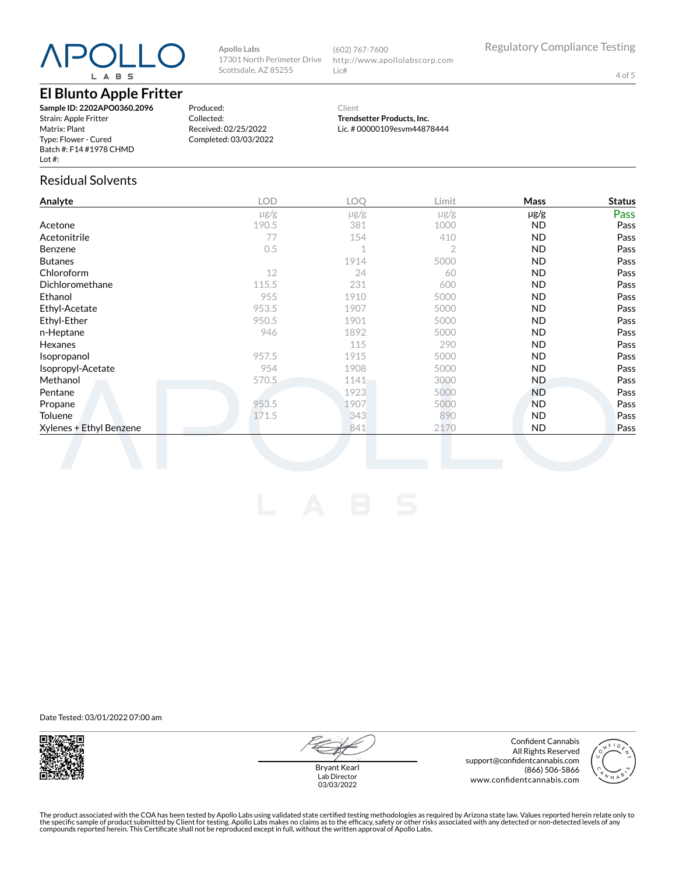# L A B S

#### **El Blunto Apple Fritter**

**Sample ID: 2202APO0360.2096** Strain: Apple Fritter Matrix: Plant Type: Flower - Cured Batch #: F14 #1978 CHMD Lot #:

Produced: Collected: Received: 02/25/2022 Completed: 03/03/2022

**Apollo Labs**

17301 North Perimeter Drive Scottsdale, AZ 85255

> Client **Trendsetter Products, Inc.**

http://www.apollolabscorp.com

(602) 767-7600

Lic#

Lic. # 00000109esvm44878444

Residual Solvents

| Analyte                 | <b>LOD</b> | LOQ       | Limit     | Mass      | <b>Status</b> |
|-------------------------|------------|-----------|-----------|-----------|---------------|
|                         | $\mu$ g/g  | $\mu$ g/g | $\mu$ g/g | $\mu$ g/g | Pass          |
| Acetone                 | 190.5      | 381       | 1000      | <b>ND</b> | Pass          |
| Acetonitrile            | 77         | 154       | 410       | <b>ND</b> | Pass          |
| Benzene                 | 0.5        | 1         | 2         | <b>ND</b> | Pass          |
| <b>Butanes</b>          |            | 1914      | 5000      | <b>ND</b> | Pass          |
| Chloroform              | 12         | 24        | 60        | <b>ND</b> | Pass          |
| Dichloromethane         | 115.5      | 231       | 600       | <b>ND</b> | Pass          |
| Ethanol                 | 955        | 1910      | 5000      | ND        | Pass          |
| Ethyl-Acetate           | 953.5      | 1907      | 5000      | <b>ND</b> | Pass          |
| Ethyl-Ether             | 950.5      | 1901      | 5000      | <b>ND</b> | Pass          |
| n-Heptane               | 946        | 1892      | 5000      | <b>ND</b> | Pass          |
| Hexanes                 |            | 115       | 290       | <b>ND</b> | Pass          |
| Isopropanol             | 957.5      | 1915      | 5000      | <b>ND</b> | Pass          |
| Isopropyl-Acetate       | 954        | 1908      | 5000      | <b>ND</b> | Pass          |
| Methanol                | 570.5      | 1141      | 3000      | <b>ND</b> | Pass          |
| Pentane                 |            | 1923      | 5000      | ND.       | Pass          |
| Propane                 | 953.5      | 1907      | 5000      | <b>ND</b> | Pass          |
| Toluene                 | 171.5      | 343       | 890       | <b>ND</b> | Pass          |
| Xylenes + Ethyl Benzene |            | 841       | 2170      | <b>ND</b> | Pass          |

Date Tested: 03/01/2022 07:00 am



Bryant Kearl Lab Director 03/03/2022

Confident Cannabis All Rights Reserved support@confidentcannabis.com (866) 506-5866 www.confidentcannabis.com



Regulatory Compliance Testing

4 of 5

The product associated with the COA has been tested by Apollo Labs using validated state certified testing methodologies as required by Arizona state law. Values reported herein relate only to<br>the specific sample of produc